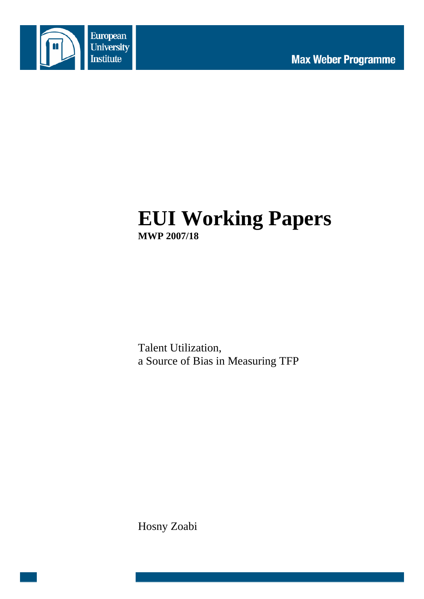

# **EUI Working Papers MWP 2007/18**

Talent Utilization, a Source of Bias in Measuring TFP

Hosny Zoabi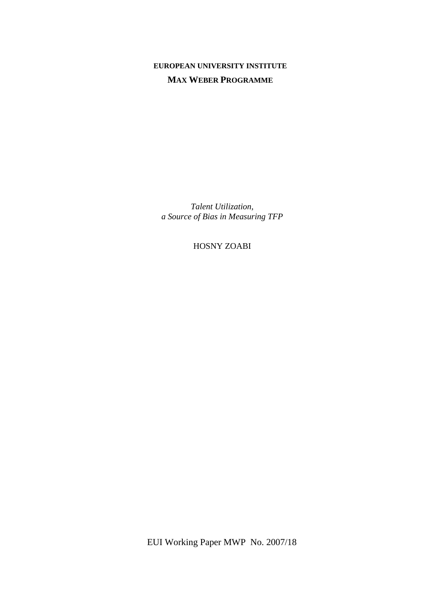## **EUROPEAN UNIVERSITY INSTITUTE MAX WEBER PROGRAMME**

*Talent Utilization, a Source of Bias in Measuring TFP* 

HOSNY ZOABI

EUI Working Paper MWP No. 2007/18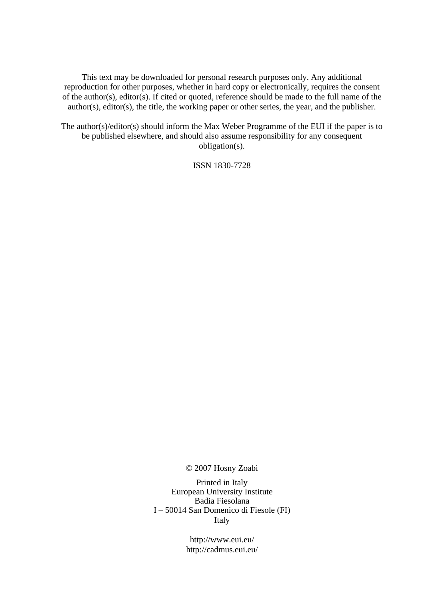This text may be downloaded for personal research purposes only. Any additional reproduction for other purposes, whether in hard copy or electronically, requires the consent of the author(s), editor(s). If cited or quoted, reference should be made to the full name of the author(s), editor(s), the title, the working paper or other series, the year, and the publisher.

The author(s)/editor(s) should inform the Max Weber Programme of the EUI if the paper is to be published elsewhere, and should also assume responsibility for any consequent obligation(s).

ISSN 1830-7728

© 2007 Hosny Zoabi

Printed in Italy European University Institute Badia Fiesolana I – 50014 San Domenico di Fiesole (FI) Italy

> http://www.eui.eu/ http://cadmus.eui.eu/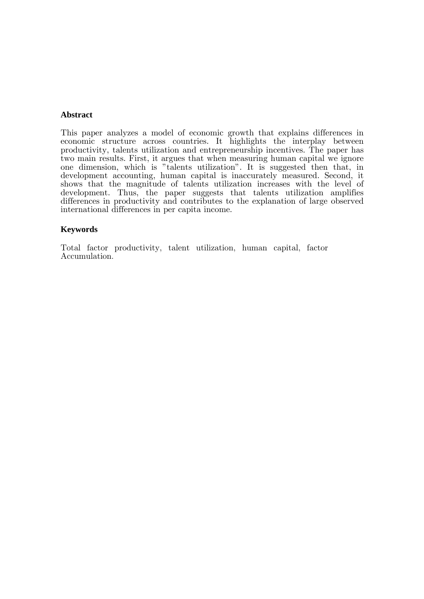#### **Abstract**

This paper analyzes a model of economic growth that explains differences in economic structure across countries. It highlights the interplay between productivity, talents utilization and entrepreneurship incentives. The paper has two main results. First, it argues that when measuring human capital we ignore one dimension, which is "talents utilization". It is suggested then that, in development accounting, human capital is inaccurately measured. Second, it shows that the magnitude of talents utilization increases with the level of development. Thus, the paper suggests that talents utilization amplifies differences in productivity and contributes to the explanation of large observed international differences in per capita income.

#### **Keywords**

Total factor productivity, talent utilization, human capital, factor Accumulation.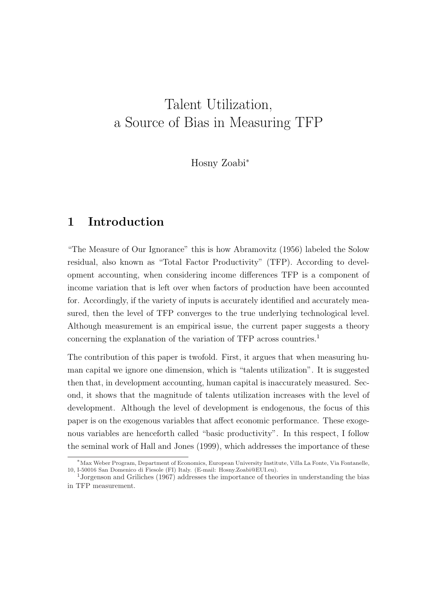## Talent Utilization, a Source of Bias in Measuring TFP

Hosny Zoabi<sup>∗</sup>

## 1 Introduction

"The Measure of Our Ignorance" this is how Abramovitz (1956) labeled the Solow residual, also known as "Total Factor Productivity" (TFP). According to development accounting, when considering income differences TFP is a component of income variation that is left over when factors of production have been accounted for. Accordingly, if the variety of inputs is accurately identified and accurately measured, then the level of TFP converges to the true underlying technological level. Although measurement is an empirical issue, the current paper suggests a theory concerning the explanation of the variation of TFP across countries.<sup>1</sup>

The contribution of this paper is twofold. First, it argues that when measuring human capital we ignore one dimension, which is "talents utilization". It is suggested then that, in development accounting, human capital is inaccurately measured. Second, it shows that the magnitude of talents utilization increases with the level of development. Although the level of development is endogenous, the focus of this paper is on the exogenous variables that affect economic performance. These exogenous variables are henceforth called "basic productivity". In this respect, I follow the seminal work of Hall and Jones (1999), which addresses the importance of these

<sup>∗</sup>Max Weber Program, Department of Economics, European University Institute, Villa La Fonte, Via Fontanelle, 10, I-50016 San Domenico di Fiesole (FI) Italy. (E-mail: Hosny.Zoabi@EUI.eu).

<sup>1</sup>Jorgenson and Griliches (1967) addresses the importance of theories in understanding the bias in TFP measurement.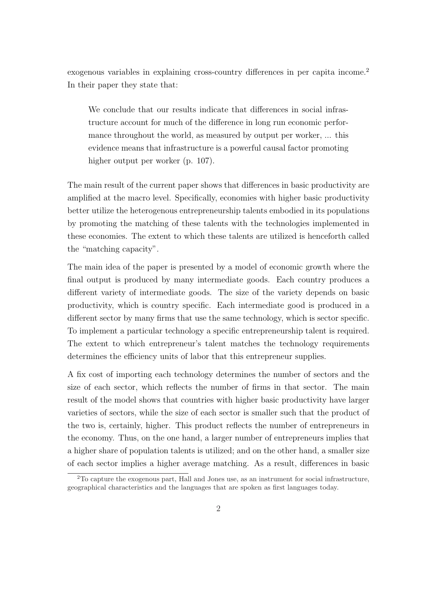exogenous variables in explaining cross-country differences in per capita income.<sup>2</sup> In their paper they state that:

We conclude that our results indicate that differences in social infrastructure account for much of the difference in long run economic performance throughout the world, as measured by output per worker, ... this evidence means that infrastructure is a powerful causal factor promoting higher output per worker (p. 107).

The main result of the current paper shows that differences in basic productivity are amplified at the macro level. Specifically, economies with higher basic productivity better utilize the heterogenous entrepreneurship talents embodied in its populations by promoting the matching of these talents with the technologies implemented in these economies. The extent to which these talents are utilized is henceforth called the "matching capacity".

The main idea of the paper is presented by a model of economic growth where the final output is produced by many intermediate goods. Each country produces a different variety of intermediate goods. The size of the variety depends on basic productivity, which is country specific. Each intermediate good is produced in a different sector by many firms that use the same technology, which is sector specific. To implement a particular technology a specific entrepreneurship talent is required. The extent to which entrepreneur's talent matches the technology requirements determines the efficiency units of labor that this entrepreneur supplies.

A fix cost of importing each technology determines the number of sectors and the size of each sector, which reflects the number of firms in that sector. The main result of the model shows that countries with higher basic productivity have larger varieties of sectors, while the size of each sector is smaller such that the product of the two is, certainly, higher. This product reflects the number of entrepreneurs in the economy. Thus, on the one hand, a larger number of entrepreneurs implies that a higher share of population talents is utilized; and on the other hand, a smaller size of each sector implies a higher average matching. As a result, differences in basic

<sup>2</sup>To capture the exogenous part, Hall and Jones use, as an instrument for social infrastructure, geographical characteristics and the languages that are spoken as first languages today.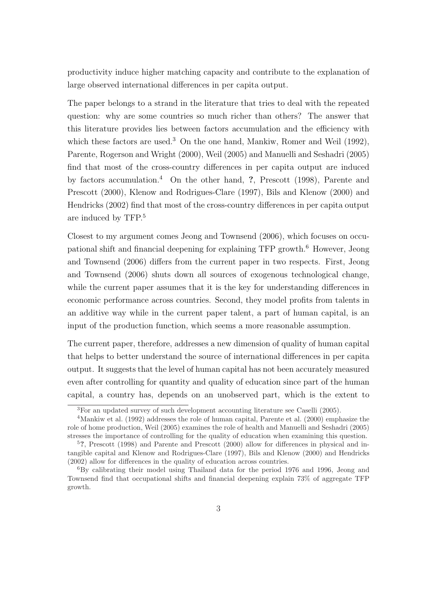productivity induce higher matching capacity and contribute to the explanation of large observed international differences in per capita output.

The paper belongs to a strand in the literature that tries to deal with the repeated question: why are some countries so much richer than others? The answer that this literature provides lies between factors accumulation and the efficiency with which these factors are used.<sup>3</sup> On the one hand, Mankiw, Romer and Weil  $(1992)$ , Parente, Rogerson and Wright (2000), Weil (2005) and Manuelli and Seshadri (2005) find that most of the cross-country differences in per capita output are induced by factors accumulation.<sup>4</sup> On the other hand, ?, Prescott (1998), Parente and Prescott (2000), Klenow and Rodrigues-Clare (1997), Bils and Klenow (2000) and Hendricks (2002) find that most of the cross-country differences in per capita output are induced by TFP.<sup>5</sup>

Closest to my argument comes Jeong and Townsend (2006), which focuses on occupational shift and financial deepening for explaining TFP growth.<sup>6</sup> However, Jeong and Townsend (2006) differs from the current paper in two respects. First, Jeong and Townsend (2006) shuts down all sources of exogenous technological change, while the current paper assumes that it is the key for understanding differences in economic performance across countries. Second, they model profits from talents in an additive way while in the current paper talent, a part of human capital, is an input of the production function, which seems a more reasonable assumption.

The current paper, therefore, addresses a new dimension of quality of human capital that helps to better understand the source of international differences in per capita output. It suggests that the level of human capital has not been accurately measured even after controlling for quantity and quality of education since part of the human capital, a country has, depends on an unobserved part, which is the extent to

<sup>3</sup>For an updated survey of such development accounting literature see Caselli (2005).

<sup>&</sup>lt;sup>4</sup>Mankiw et al. (1992) addresses the role of human capital, Parente et al. (2000) emphasize the role of home production, Weil (2005) examines the role of health and Manuelli and Seshadri (2005) stresses the importance of controlling for the quality of education when examining this question.

<sup>5</sup>?, Prescott (1998) and Parente and Prescott (2000) allow for differences in physical and intangible capital and Klenow and Rodrigues-Clare (1997), Bils and Klenow (2000) and Hendricks (2002) allow for differences in the quality of education across countries.

<sup>6</sup>By calibrating their model using Thailand data for the period 1976 and 1996, Jeong and Townsend find that occupational shifts and financial deepening explain 73% of aggregate TFP growth.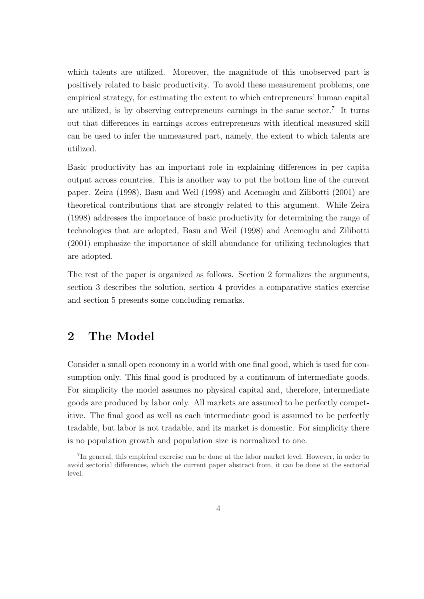which talents are utilized. Moreover, the magnitude of this unobserved part is positively related to basic productivity. To avoid these measurement problems, one empirical strategy, for estimating the extent to which entrepreneurs' human capital are utilized, is by observing entrepreneurs earnings in the same sector.<sup>7</sup> It turns out that differences in earnings across entrepreneurs with identical measured skill can be used to infer the unmeasured part, namely, the extent to which talents are utilized.

Basic productivity has an important role in explaining differences in per capita output across countries. This is another way to put the bottom line of the current paper. Zeira (1998), Basu and Weil (1998) and Acemoglu and Zilibotti (2001) are theoretical contributions that are strongly related to this argument. While Zeira (1998) addresses the importance of basic productivity for determining the range of technologies that are adopted, Basu and Weil (1998) and Acemoglu and Zilibotti (2001) emphasize the importance of skill abundance for utilizing technologies that are adopted.

The rest of the paper is organized as follows. Section 2 formalizes the arguments, section 3 describes the solution, section 4 provides a comparative statics exercise and section 5 presents some concluding remarks.

## 2 The Model

Consider a small open economy in a world with one final good, which is used for consumption only. This final good is produced by a continuum of intermediate goods. For simplicity the model assumes no physical capital and, therefore, intermediate goods are produced by labor only. All markets are assumed to be perfectly competitive. The final good as well as each intermediate good is assumed to be perfectly tradable, but labor is not tradable, and its market is domestic. For simplicity there is no population growth and population size is normalized to one.

<sup>&</sup>lt;sup>7</sup>In general, this empirical exercise can be done at the labor market level. However, in order to avoid sectorial differences, which the current paper abstract from, it can be done at the sectorial level.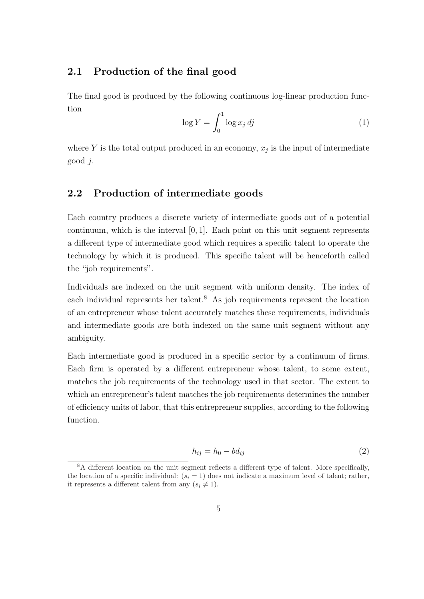#### 2.1 Production of the final good

The final good is produced by the following continuous log-linear production function  $\mathfrak{c}^1$ 

$$
\log Y = \int_0^1 \log x_j \, dj \tag{1}
$$

where Y is the total output produced in an economy,  $x_j$  is the input of intermediate good j.

#### 2.2 Production of intermediate goods

Each country produces a discrete variety of intermediate goods out of a potential continuum, which is the interval [0, 1]. Each point on this unit segment represents a different type of intermediate good which requires a specific talent to operate the technology by which it is produced. This specific talent will be henceforth called the "job requirements".

Individuals are indexed on the unit segment with uniform density. The index of each individual represents her talent.<sup>8</sup> As job requirements represent the location of an entrepreneur whose talent accurately matches these requirements, individuals and intermediate goods are both indexed on the same unit segment without any ambiguity.

Each intermediate good is produced in a specific sector by a continuum of firms. Each firm is operated by a different entrepreneur whose talent, to some extent, matches the job requirements of the technology used in that sector. The extent to which an entrepreneur's talent matches the job requirements determines the number of efficiency units of labor, that this entrepreneur supplies, according to the following function.

$$
h_{ij} = h_0 - bd_{ij} \tag{2}
$$

<sup>8</sup>A different location on the unit segment reflects a different type of talent. More specifically, the location of a specific individual:  $(s<sub>i</sub> = 1)$  does not indicate a maximum level of talent; rather, it represents a different talent from any  $(s_i \neq 1)$ .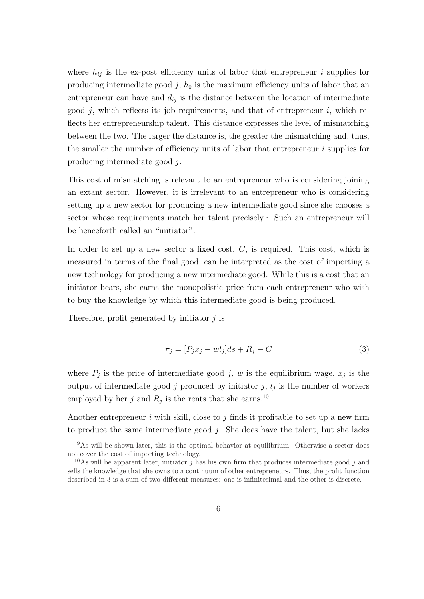where  $h_{ij}$  is the ex-post efficiency units of labor that entrepreneur i supplies for producing intermediate good  $j$ ,  $h_0$  is the maximum efficiency units of labor that an entrepreneur can have and  $d_{ij}$  is the distance between the location of intermediate good  $j$ , which reflects its job requirements, and that of entrepreneur  $i$ , which reflects her entrepreneurship talent. This distance expresses the level of mismatching between the two. The larger the distance is, the greater the mismatching and, thus, the smaller the number of efficiency units of labor that entrepreneur  $i$  supplies for producing intermediate good j.

This cost of mismatching is relevant to an entrepreneur who is considering joining an extant sector. However, it is irrelevant to an entrepreneur who is considering setting up a new sector for producing a new intermediate good since she chooses a sector whose requirements match her talent precisely.<sup>9</sup> Such an entrepreneur will be henceforth called an "initiator".

In order to set up a new sector a fixed cost,  $C$ , is required. This cost, which is measured in terms of the final good, can be interpreted as the cost of importing a new technology for producing a new intermediate good. While this is a cost that an initiator bears, she earns the monopolistic price from each entrepreneur who wish to buy the knowledge by which this intermediate good is being produced.

Therefore, profit generated by initiator  $j$  is

$$
\pi_j = [P_j x_j - w l_j] ds + R_j - C \tag{3}
$$

where  $P_j$  is the price of intermediate good j, w is the equilibrium wage,  $x_j$  is the output of intermediate good j produced by initiator j,  $l_j$  is the number of workers employed by her j and  $R_j$  is the rents that she earns.<sup>10</sup>

Another entrepreneur i with skill, close to j finds it profitable to set up a new firm to produce the same intermediate good  $j$ . She does have the talent, but she lacks

<sup>&</sup>lt;sup>9</sup>As will be shown later, this is the optimal behavior at equilibrium. Otherwise a sector does not cover the cost of importing technology.

<sup>&</sup>lt;sup>10</sup>As will be apparent later, initiator j has his own firm that produces intermediate good j and sells the knowledge that she owns to a continuum of other entrepreneurs. Thus, the profit function described in 3 is a sum of two different measures: one is infinitesimal and the other is discrete.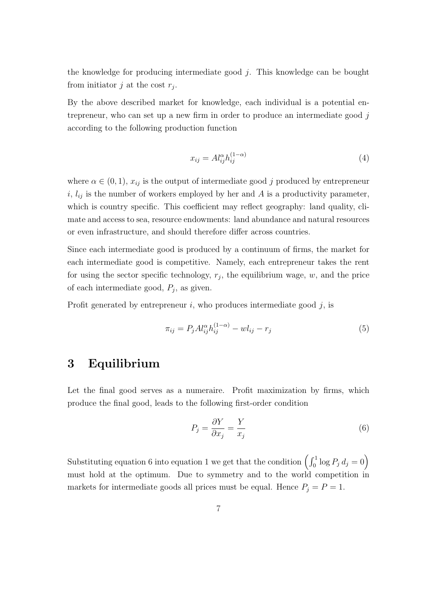the knowledge for producing intermediate good  $j$ . This knowledge can be bought from initiator j at the cost  $r_j$ .

By the above described market for knowledge, each individual is a potential entrepreneur, who can set up a new firm in order to produce an intermediate good j according to the following production function

$$
x_{ij} = A l_{ij}^{\alpha} h_{ij}^{(1-\alpha)}
$$
\n<sup>(4)</sup>

where  $\alpha \in (0,1)$ ,  $x_{ij}$  is the output of intermediate good j produced by entrepreneur i,  $l_{ij}$  is the number of workers employed by her and A is a productivity parameter, which is country specific. This coefficient may reflect geography: land quality, climate and access to sea, resource endowments: land abundance and natural resources or even infrastructure, and should therefore differ across countries.

Since each intermediate good is produced by a continuum of firms, the market for each intermediate good is competitive. Namely, each entrepreneur takes the rent for using the sector specific technology,  $r_j$ , the equilibrium wage, w, and the price of each intermediate good,  $P_j$ , as given.

Profit generated by entrepreneur  $i$ , who produces intermediate good  $j$ , is

$$
\pi_{ij} = P_j A l_{ij}^{\alpha} h_{ij}^{(1-\alpha)} - w l_{ij} - r_j \tag{5}
$$

## 3 Equilibrium

Let the final good serves as a numeraire. Profit maximization by firms, which produce the final good, leads to the following first-order condition

$$
P_j = \frac{\partial Y}{\partial x_j} = \frac{Y}{x_j} \tag{6}
$$

Substituting equation 6 into equation 1 we get that the condition  $\left(\int_0^1 \log P_j d_j = 0\right)$ must hold at the optimum. Due to symmetry and to the world competition in markets for intermediate goods all prices must be equal. Hence  $P_j = P = 1$ .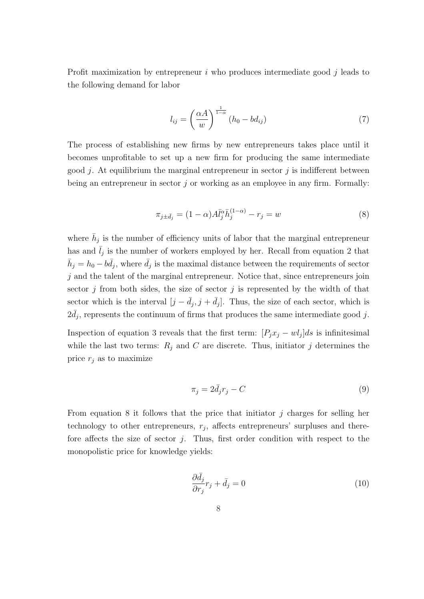Profit maximization by entrepreneur  $i$  who produces intermediate good  $j$  leads to the following demand for labor

$$
l_{ij} = \left(\frac{\alpha A}{w}\right)^{\frac{1}{1-\alpha}} (h_0 - bd_{ij})
$$
\n(7)

The process of establishing new firms by new entrepreneurs takes place until it becomes unprofitable to set up a new firm for producing the same intermediate good j. At equilibrium the marginal entrepreneur in sector j is indifferent between being an entrepreneur in sector  $j$  or working as an employee in any firm. Formally:

$$
\pi_{j \pm \bar{d}_j} = (1 - \alpha) A \bar{l}_j^{\alpha} \bar{h}_j^{(1 - \alpha)} - r_j = w \tag{8}
$$

where  $\bar{h}_j$  is the number of efficiency units of labor that the marginal entrepreneur has and  $\bar{l}_j$  is the number of workers employed by her. Recall from equation 2 that  $\bar{h}_j = h_0 - b\bar{d}_j$ , where  $\bar{d}_j$  is the maximal distance between the requirements of sector  $i$  and the talent of the marginal entrepreneur. Notice that, since entrepreneurs join sector j from both sides, the size of sector j is represented by the width of that sector which is the interval  $[j - \bar{d}_j, j + \bar{d}_j]$ . Thus, the size of each sector, which is  $2\bar{d}_j$ , represents the continuum of firms that produces the same intermediate good j.

Inspection of equation 3 reveals that the first term:  $[P_j x_j - w l_j] ds$  is infinitesimal while the last two terms:  $R_i$  and C are discrete. Thus, initiator j determines the price  $r_j$  as to maximize

$$
\pi_j = 2\bar{d}_j r_j - C \tag{9}
$$

From equation 8 it follows that the price that initiator  $j$  charges for selling her technology to other entrepreneurs,  $r_j$ , affects entrepreneurs' surpluses and therefore affects the size of sector  $j$ . Thus, first order condition with respect to the monopolistic price for knowledge yields:

$$
\frac{\partial \bar{d}_j}{\partial r_j} r_j + \bar{d}_j = 0 \tag{10}
$$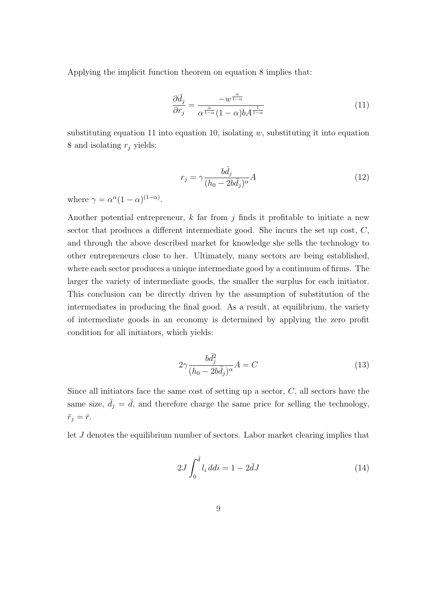Applying the implicit function theorem on equation 8 implies that:

$$
\frac{\partial \bar{d}_j}{\partial r_j} = \frac{-w^{\frac{\alpha}{1-\alpha}}}{\alpha^{\frac{\alpha}{1-\alpha}}(1-\alpha)bA^{\frac{1}{1-\alpha}}}
$$
(11)

substituting equation 11 into equation 10, isolating  $w$ , substituting it into equation 8 and isolating  $r_i$  yields:

$$
r_j = \gamma \frac{b\bar{d}_j}{(h_0 - 2b\bar{d}_j)^\alpha} A \tag{12}
$$

where  $\gamma = \alpha^{\alpha} (1 - \alpha)^{(1 - \alpha)}$ .

Another potential entrepreneur,  $k$  far from  $j$  finds it profitable to initiate a new sector that produces a different intermediate good. She incurs the set up cost, C, and through the above described market for knowledge she sells the technology to other entrepreneurs close to her. Ultimately, many sectors are being established, where each sector produces a unique intermediate good by a continuum of firms. The larger the variety of intermediate goods, the smaller the surplus for each initiator. This conclusion can be directly driven by the assumption of substitution of the intermediates in producing the final good. As a result, at equilibrium, the variety of intermediate goods in an economy is determined by applying the zero profit condition for all initiators, which yields:

$$
2\gamma \frac{b\bar{d}_j^2}{(h_0 - 2b\bar{d}_j)^\alpha} A = C \tag{13}
$$

Since all initiators face the same cost of setting up a sector,  $C$ , all sectors have the same size,  $\bar{d}_j = \bar{d}$ , and therefore charge the same price for selling the technology,  $\bar{r}_j = \bar{r}.$ 

let J denotes the equilibrium number of sectors. Labor market clearing implies that

$$
2J \int_0^{\bar{d}} l_i \, ddi = 1 - 2\bar{d}J \tag{14}
$$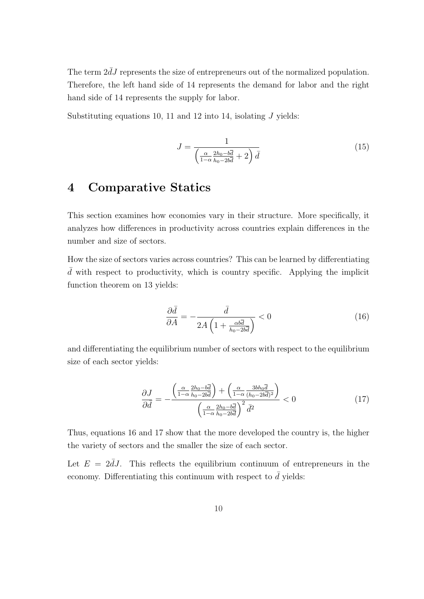The term  $2dJ$  represents the size of entrepreneurs out of the normalized population. Therefore, the left hand side of 14 represents the demand for labor and the right hand side of 14 represents the supply for labor.

Substituting equations 10, 11 and 12 into 14, isolating  $J$  yields:

$$
J = \frac{1}{\left(\frac{\alpha}{1-\alpha} \frac{2h_0 - b\overline{d}}{h_0 - 2b\overline{d}} + 2\right) \overline{d}}
$$
(15)

## 4 Comparative Statics

This section examines how economies vary in their structure. More specifically, it analyzes how differences in productivity across countries explain differences in the number and size of sectors.

How the size of sectors varies across countries? This can be learned by differentiating  $\overline{d}$  with respect to productivity, which is country specific. Applying the implicit function theorem on 13 yields:

$$
\frac{\partial \bar{d}}{\partial A} = -\frac{\bar{d}}{2A\left(1 + \frac{\alpha b \bar{d}}{h_0 - 2b \bar{d}}\right)} < 0 \tag{16}
$$

and differentiating the equilibrium number of sectors with respect to the equilibrium size of each sector yields:

$$
\frac{\partial J}{\partial \bar{d}} = -\frac{\left(\frac{\alpha}{1-\alpha} \frac{2h_0 - b\bar{d}}{h_0 - 2b\bar{d}}\right) + \left(\frac{\alpha}{1-\alpha} \frac{3bh_0\bar{d}}{(h_0 - 2b\bar{d})^2}\right)}{\left(\frac{\alpha}{1-\alpha} \frac{2h_0 - b\bar{d}}{h_0 - 2b\bar{d}}\right)^2 \bar{d}^2} < 0
$$
\n(17)

Thus, equations 16 and 17 show that the more developed the country is, the higher the variety of sectors and the smaller the size of each sector.

Let  $E = 2dJ$ . This reflects the equilibrium continuum of entrepreneurs in the economy. Differentiating this continuum with respect to  $\bar{d}$  yields: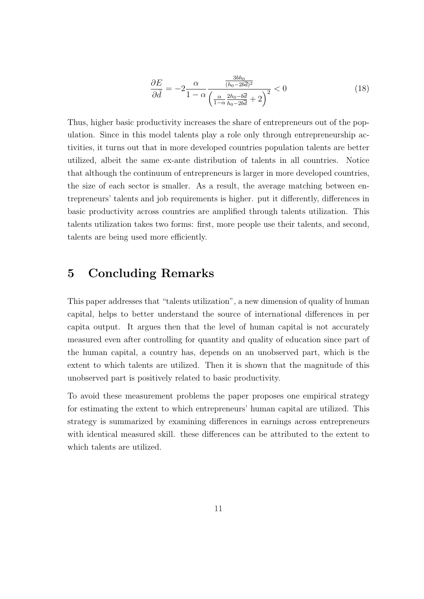$$
\frac{\partial E}{\partial \bar{d}} = -2 \frac{\alpha}{1 - \alpha} \frac{\frac{3bh_0}{(h_0 - 2b\bar{d})^2}}{\left(\frac{\alpha}{1 - \alpha} \frac{2h_0 - b\bar{d}}{h_0 - 2b\bar{d}} + 2\right)^2} < 0
$$
\n(18)

Thus, higher basic productivity increases the share of entrepreneurs out of the population. Since in this model talents play a role only through entrepreneurship activities, it turns out that in more developed countries population talents are better utilized, albeit the same ex-ante distribution of talents in all countries. Notice that although the continuum of entrepreneurs is larger in more developed countries, the size of each sector is smaller. As a result, the average matching between entrepreneurs' talents and job requirements is higher. put it differently, differences in basic productivity across countries are amplified through talents utilization. This talents utilization takes two forms: first, more people use their talents, and second, talents are being used more efficiently.

## 5 Concluding Remarks

This paper addresses that "talents utilization", a new dimension of quality of human capital, helps to better understand the source of international differences in per capita output. It argues then that the level of human capital is not accurately measured even after controlling for quantity and quality of education since part of the human capital, a country has, depends on an unobserved part, which is the extent to which talents are utilized. Then it is shown that the magnitude of this unobserved part is positively related to basic productivity.

To avoid these measurement problems the paper proposes one empirical strategy for estimating the extent to which entrepreneurs' human capital are utilized. This strategy is summarized by examining differences in earnings across entrepreneurs with identical measured skill. these differences can be attributed to the extent to which talents are utilized.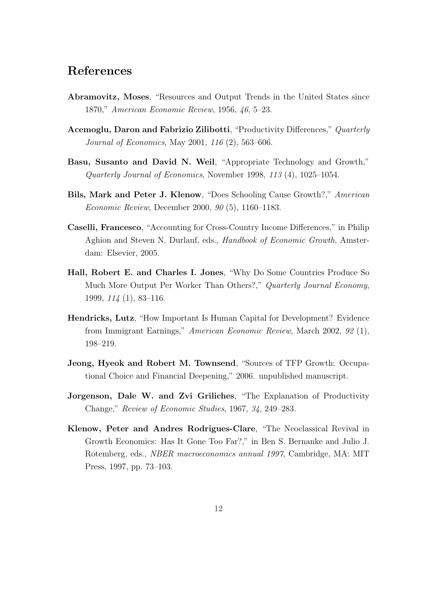## References

- Abramovitz, Moses, "Resources and Output Trends in the United States since 1870," American Economic Review, 1956, 46, 5–23.
- Acemoglu, Daron and Fabrizio Zilibotti, "Productivity Differences," Quarterly Journal of Economics, May 2001, 116 (2), 563–606.
- Basu, Susanto and David N. Weil, "Appropriate Technology and Growth," Quarterly Journal of Economics, November 1998, 113 (4), 1025–1054.
- Bils, Mark and Peter J. Klenow, "Does Schooling Cause Growth?," American Economic Review, December 2000, 90 (5), 1160–1183.
- Caselli, Francesco, "Accounting for Cross-Country Income Differences," in Philip Aghion and Steven N. Durlauf, eds., Handbook of Economic Growth, Amsterdam: Elsevier, 2005.
- Hall, Robert E. and Charles I. Jones, "Why Do Some Countries Produce So Much More Output Per Worker Than Others?," Quarterly Journal Economy, 1999, 114 (1), 83–116.
- Hendricks, Lutz, "How Important Is Human Capital for Development? Evidence from Immigrant Earnings," American Economic Review, March 2002, 92 (1), 198–219.
- Jeong, Hyeok and Robert M. Townsend, "Sources of TFP Growth: Occupational Choice and Financial Deepening," 2006. unpublished manuscript.
- Jorgenson, Dale W. and Zvi Griliches, "The Explanation of Productivity Change," Review of Economic Studies, 1967, 34, 249–283.
- Klenow, Peter and Andres Rodrigues-Clare, "The Neoclassical Revival in Growth Economics: Has It Gone Too Far?," in Ben S. Bernanke and Julio J. Rotemberg, eds., NBER macroeconomics annual 1997, Cambridge, MA: MIT Press, 1997, pp. 73–103.